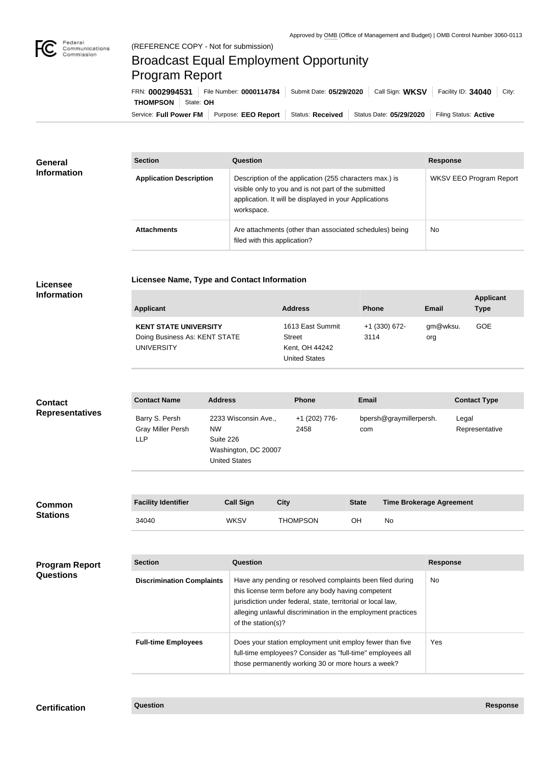

п

## Broadcast Equal Employment Opportunity Program Report

**Licensee Name, Type and Contact Information**

Service: Full Power FM Purpose: EEO Report | Status: Received | Status Date: 05/29/2020 | Filing Status: Active **THOMPSON** State: **OH** FRN: **0002994531** File Number: **0000114784** Submit Date: **05/29/2020** Call Sign: **WKSV** Facility ID: **34040** City:

| <b>General</b><br><b>Information</b> | <b>Section</b>                 | Question                                                                                                                                                                                | <b>Response</b>                |
|--------------------------------------|--------------------------------|-----------------------------------------------------------------------------------------------------------------------------------------------------------------------------------------|--------------------------------|
|                                      | <b>Application Description</b> | Description of the application (255 characters max.) is<br>visible only to you and is not part of the submitted<br>application. It will be displayed in your Applications<br>workspace. | <b>WKSV EEO Program Report</b> |
|                                      | <b>Attachments</b>             | Are attachments (other than associated schedules) being<br>filed with this application?                                                                                                 | <b>No</b>                      |

## **Licensee Information**

| <b>Applicant</b>                                                                   | <b>Address</b>                                                       | <b>Phone</b>          | Email           | <b>Applicant</b><br><b>Type</b> |
|------------------------------------------------------------------------------------|----------------------------------------------------------------------|-----------------------|-----------------|---------------------------------|
| <b>KENT STATE UNIVERSITY</b><br>Doing Business As: KENT STATE<br><b>UNIVERSITY</b> | 1613 East Summit<br>Street<br>Kent, OH 44242<br><b>United States</b> | +1 (330) 672-<br>3114 | gm@wksu.<br>org | <b>GOE</b>                      |

| <b>Contact</b>         | <b>Contact Name</b>                                      | <b>Address</b>                                                                                 | <b>Phone</b>          | <b>Email</b>                   | <b>Contact Type</b>     |
|------------------------|----------------------------------------------------------|------------------------------------------------------------------------------------------------|-----------------------|--------------------------------|-------------------------|
| <b>Representatives</b> | Barry S. Persh<br><b>Gray Miller Persh</b><br><b>LLP</b> | 2233 Wisconsin Ave.,<br><b>NW</b><br>Suite 226<br>Washington, DC 20007<br><b>United States</b> | +1 (202) 776-<br>2458 | bpersh@graymillerpersh.<br>com | Legal<br>Representative |

| <b>Common</b><br><b>Stations</b> | <b>Facility Identifier</b> | <b>Call Sign</b> | City     | <b>State</b> | <b>Time Brokerage Agreement</b> |
|----------------------------------|----------------------------|------------------|----------|--------------|---------------------------------|
|                                  | 34040                      | <b>WKSV</b>      | THOMPSON | OН           | No                              |

| <b>Program Report</b><br><b>Questions</b> | <b>Section</b>                   | Question                                                                                                                                                                                                                                                              | <b>Response</b> |
|-------------------------------------------|----------------------------------|-----------------------------------------------------------------------------------------------------------------------------------------------------------------------------------------------------------------------------------------------------------------------|-----------------|
|                                           | <b>Discrimination Complaints</b> | Have any pending or resolved complaints been filed during<br>this license term before any body having competent<br>jurisdiction under federal, state, territorial or local law,<br>alleging unlawful discrimination in the employment practices<br>of the station(s)? | <b>No</b>       |
|                                           | <b>Full-time Employees</b>       | Does your station employment unit employ fewer than five<br>full-time employees? Consider as "full-time" employees all<br>those permanently working 30 or more hours a week?                                                                                          | <b>Yes</b>      |